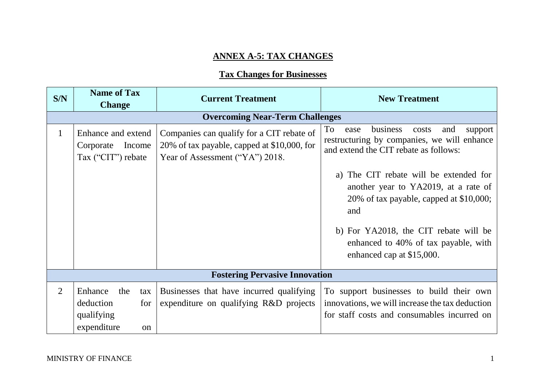## **ANNEX A-5: TAX CHANGES**

## **Tax Changes for Businesses**

| S/N            | <b>Name of Tax</b>                                                           | <b>Current Treatment</b>                                                                                                    | <b>New Treatment</b>                                                                                                                       |
|----------------|------------------------------------------------------------------------------|-----------------------------------------------------------------------------------------------------------------------------|--------------------------------------------------------------------------------------------------------------------------------------------|
|                | <b>Change</b>                                                                |                                                                                                                             |                                                                                                                                            |
|                |                                                                              | <b>Overcoming Near-Term Challenges</b>                                                                                      |                                                                                                                                            |
| $\mathbf{1}$   | Enhance and extend<br>Income<br>Corporate<br>Tax ("CIT") rebate              | Companies can qualify for a CIT rebate of<br>20% of tax payable, capped at \$10,000, for<br>Year of Assessment ("YA") 2018. | To<br>business<br>costs<br>and<br>ease<br>support<br>restructuring by companies, we will enhance<br>and extend the CIT rebate as follows:  |
|                |                                                                              |                                                                                                                             | The CIT rebate will be extended for<br>a)<br>another year to YA2019, at a rate of<br>20% of tax payable, capped at \$10,000;<br>and        |
|                |                                                                              |                                                                                                                             | b) For YA2018, the CIT rebate will be<br>enhanced to 40% of tax payable, with<br>enhanced cap at \$15,000.                                 |
|                |                                                                              | <b>Fostering Pervasive Innovation</b>                                                                                       |                                                                                                                                            |
| $\overline{2}$ | Enhance<br>the<br>tax<br>deduction<br>for<br>qualifying<br>expenditure<br>on | Businesses that have incurred qualifying<br>expenditure on qualifying R&D projects                                          | To support businesses to build their own<br>innovations, we will increase the tax deduction<br>for staff costs and consumables incurred on |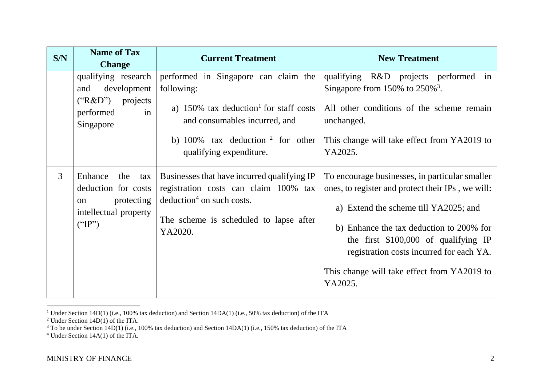| S/N            | <b>Name of Tax</b><br><b>Change</b>                                                                            | <b>Current Treatment</b>                                                                                                                                                                                          | <b>New Treatment</b>                                                                                                                                                                                                                                                                                                                    |
|----------------|----------------------------------------------------------------------------------------------------------------|-------------------------------------------------------------------------------------------------------------------------------------------------------------------------------------------------------------------|-----------------------------------------------------------------------------------------------------------------------------------------------------------------------------------------------------------------------------------------------------------------------------------------------------------------------------------------|
|                | qualifying research<br>development<br>and<br>("R&D")<br>projects<br>performed<br>in<br>Singapore               | performed in Singapore can claim the<br>following:<br>a) $150\%$ tax deduction <sup>1</sup> for staff costs<br>and consumables incurred, and<br>b) $100\%$ tax deduction $2$ for other<br>qualifying expenditure. | qualifying R&D projects performed in<br>Singapore from 150% to $250\%$ <sup>3</sup> .<br>All other conditions of the scheme remain<br>unchanged.<br>This change will take effect from YA2019 to<br>YA2025.                                                                                                                              |
| $\mathfrak{Z}$ | Enhance<br>the<br>tax<br>deduction for costs<br>protecting<br><sub>on</sub><br>intellectual property<br>("IP") | Businesses that have incurred qualifying IP<br>registration costs can claim 100% tax<br>$deduction4$ on such costs.<br>The scheme is scheduled to lapse after<br>YA2020.                                          | To encourage businesses, in particular smaller<br>ones, to register and protect their IPs, we will:<br>a) Extend the scheme till YA2025; and<br>b) Enhance the tax deduction to 200% for<br>the first $$100,000$ of qualifying IP<br>registration costs incurred for each YA.<br>This change will take effect from YA2019 to<br>YA2025. |

<sup>&</sup>lt;sup>1</sup> Under Section 14D(1) (i.e., 100% tax deduction) and Section 14DA(1) (i.e., 50% tax deduction) of the ITA

<sup>&</sup>lt;sup>2</sup> Under Section  $14D(1)$  of the ITA.

 $3$  To be under Section 14D(1) (i.e., 100% tax deduction) and Section 14DA(1) (i.e., 150% tax deduction) of the ITA

<sup>4</sup> Under Section 14A(1) of the ITA.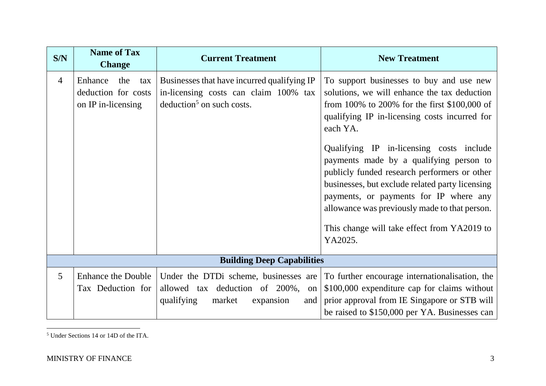| S/N            | <b>Name of Tax</b><br><b>Change</b>                                | <b>Current Treatment</b>                                                                                                  | <b>New Treatment</b>                                                                                                                                                                                                                                                                                                                                                                                                                                                                                                                                  |
|----------------|--------------------------------------------------------------------|---------------------------------------------------------------------------------------------------------------------------|-------------------------------------------------------------------------------------------------------------------------------------------------------------------------------------------------------------------------------------------------------------------------------------------------------------------------------------------------------------------------------------------------------------------------------------------------------------------------------------------------------------------------------------------------------|
| $\overline{4}$ | Enhance<br>the<br>tax<br>deduction for costs<br>on IP in-licensing | Businesses that have incurred qualifying IP<br>in-licensing costs can claim 100% tax<br>$deduction5$ on such costs.       | To support businesses to buy and use new<br>solutions, we will enhance the tax deduction<br>from 100% to 200% for the first $$100,000$ of<br>qualifying IP in-licensing costs incurred for<br>each YA.<br>Qualifying IP in-licensing costs include<br>payments made by a qualifying person to<br>publicly funded research performers or other<br>businesses, but exclude related party licensing<br>payments, or payments for IP where any<br>allowance was previously made to that person.<br>This change will take effect from YA2019 to<br>YA2025. |
|                |                                                                    | <b>Building Deep Capabilities</b>                                                                                         |                                                                                                                                                                                                                                                                                                                                                                                                                                                                                                                                                       |
| 5              | <b>Enhance the Double</b><br>Tax Deduction for                     | Under the DTDi scheme, businesses are<br>allowed tax deduction of 200%,<br>on<br>qualifying<br>market<br>expansion<br>and | To further encourage internationalisation, the<br>\$100,000 expenditure cap for claims without<br>prior approval from IE Singapore or STB will<br>be raised to \$150,000 per YA. Businesses can                                                                                                                                                                                                                                                                                                                                                       |

 $\overline{a}$ <sup>5</sup> Under Sections 14 or 14D of the ITA.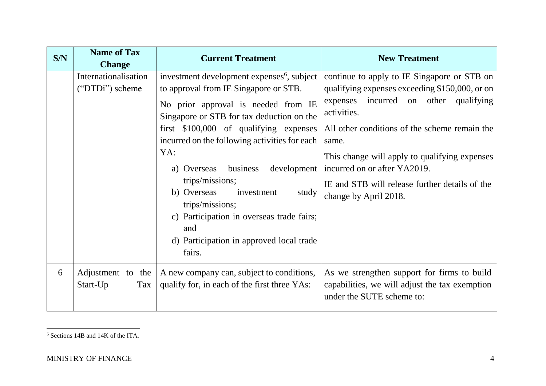| S/N | <b>Name of Tax</b><br><b>Change</b>     | <b>Current Treatment</b>                                                                                                                                                                                                                                                                                                                                                                                                                                                                                              | <b>New Treatment</b>                                                                                                                                                                                                                                                                                                                                                           |
|-----|-----------------------------------------|-----------------------------------------------------------------------------------------------------------------------------------------------------------------------------------------------------------------------------------------------------------------------------------------------------------------------------------------------------------------------------------------------------------------------------------------------------------------------------------------------------------------------|--------------------------------------------------------------------------------------------------------------------------------------------------------------------------------------------------------------------------------------------------------------------------------------------------------------------------------------------------------------------------------|
|     | Internationalisation<br>("DTDi") scheme | investment development expenses <sup>6</sup> , subject<br>to approval from IE Singapore or STB.<br>No prior approval is needed from IE<br>Singapore or STB for tax deduction on the<br>first \$100,000 of qualifying expenses<br>incurred on the following activities for each<br>YA:<br>business<br>development<br>a) Overseas<br>trips/missions;<br>b) Overseas<br>investment<br>study<br>trips/missions;<br>c) Participation in overseas trade fairs;<br>and<br>d) Participation in approved local trade<br>fairs. | continue to apply to IE Singapore or STB on<br>qualifying expenses exceeding \$150,000, or on<br>incurred on other qualifying<br>expenses<br>activities.<br>All other conditions of the scheme remain the<br>same.<br>This change will apply to qualifying expenses<br>incurred on or after YA2019.<br>IE and STB will release further details of the<br>change by April 2018. |
| 6   | Adjustment to the<br>Start-Up<br>Tax    | A new company can, subject to conditions,<br>qualify for, in each of the first three YAs:                                                                                                                                                                                                                                                                                                                                                                                                                             | As we strengthen support for firms to build<br>capabilities, we will adjust the tax exemption<br>under the SUTE scheme to:                                                                                                                                                                                                                                                     |

 $\overline{a}$ <sup>6</sup> Sections 14B and 14K of the ITA.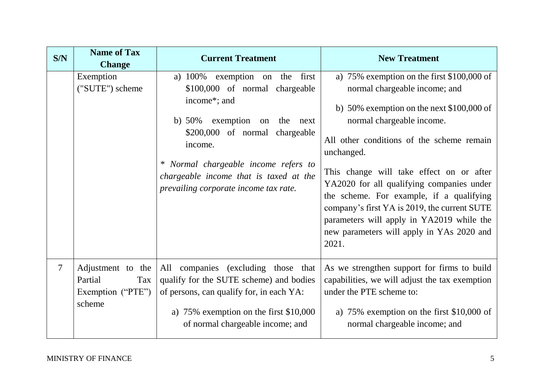| S/N            | <b>Name of Tax</b><br><b>Change</b>                                | <b>Current Treatment</b>                                                                                                                                                                                                                                                                          | <b>New Treatment</b>                                                                                                                                                                                                                                                                                                                                                                                                                                                                                         |
|----------------|--------------------------------------------------------------------|---------------------------------------------------------------------------------------------------------------------------------------------------------------------------------------------------------------------------------------------------------------------------------------------------|--------------------------------------------------------------------------------------------------------------------------------------------------------------------------------------------------------------------------------------------------------------------------------------------------------------------------------------------------------------------------------------------------------------------------------------------------------------------------------------------------------------|
|                | Exemption<br>("SUTE") scheme                                       | a) 100% exemption on the first<br>\$100,000 of normal chargeable<br>income*; and<br>exemption on<br>b) $50\%$<br>the next<br>\$200,000 of normal chargeable<br>income.<br>* Normal chargeable income refers to<br>chargeable income that is taxed at the<br>prevailing corporate income tax rate. | a) $75\%$ exemption on the first \$100,000 of<br>normal chargeable income; and<br>b) 50% exemption on the next $$100,000$ of<br>normal chargeable income.<br>All other conditions of the scheme remain<br>unchanged.<br>This change will take effect on or after<br>YA2020 for all qualifying companies under<br>the scheme. For example, if a qualifying<br>company's first YA is 2019, the current SUTE<br>parameters will apply in YA2019 while the<br>new parameters will apply in YAs 2020 and<br>2021. |
| $\overline{7}$ | Adjustment to the<br>Partial<br>Tax<br>Exemption ("PTE")<br>scheme | All companies (excluding those that<br>qualify for the SUTE scheme) and bodies<br>of persons, can qualify for, in each YA:<br>a) $75\%$ exemption on the first \$10,000<br>of normal chargeable income; and                                                                                       | As we strengthen support for firms to build<br>capabilities, we will adjust the tax exemption<br>under the PTE scheme to:<br>a) $75\%$ exemption on the first \$10,000 of<br>normal chargeable income; and                                                                                                                                                                                                                                                                                                   |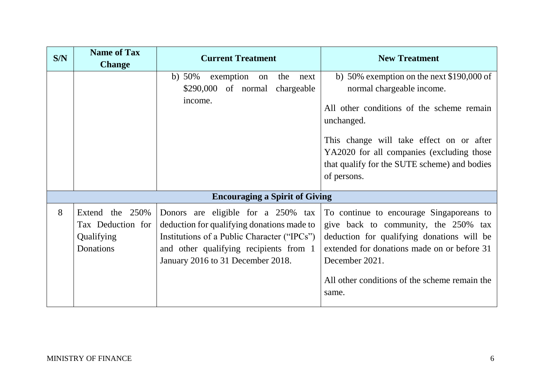| S/N | <b>Name of Tax</b><br><b>Change</b>                             | <b>Current Treatment</b>                                                                                                                                                                                       | <b>New Treatment</b>                                                                                                                                                                                                                                                                       |
|-----|-----------------------------------------------------------------|----------------------------------------------------------------------------------------------------------------------------------------------------------------------------------------------------------------|--------------------------------------------------------------------------------------------------------------------------------------------------------------------------------------------------------------------------------------------------------------------------------------------|
|     |                                                                 | b) $50\%$<br>exemption<br>the<br>next<br>on<br>\$290,000 of normal chargeable<br>income.                                                                                                                       | b) 50% exemption on the next $$190,000$ of<br>normal chargeable income.<br>All other conditions of the scheme remain<br>unchanged.<br>This change will take effect on or after<br>YA2020 for all companies (excluding those<br>that qualify for the SUTE scheme) and bodies<br>of persons. |
|     |                                                                 | <b>Encouraging a Spirit of Giving</b>                                                                                                                                                                          |                                                                                                                                                                                                                                                                                            |
| 8   | Extend the 250%<br>Tax Deduction for<br>Qualifying<br>Donations | Donors are eligible for a 250% tax<br>deduction for qualifying donations made to<br>Institutions of a Public Character ("IPCs")<br>and other qualifying recipients from 1<br>January 2016 to 31 December 2018. | To continue to encourage Singaporeans to<br>give back to community, the 250% tax<br>deduction for qualifying donations will be<br>extended for donations made on or before 31<br>December 2021.<br>All other conditions of the scheme remain the<br>same.                                  |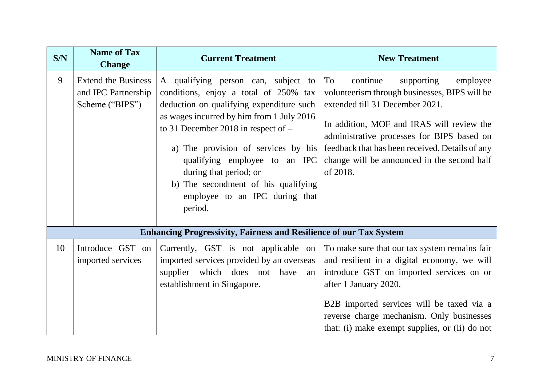| S/N | <b>Name of Tax</b><br><b>Change</b>                                  | <b>Current Treatment</b>                                                                                                                                                                                                                                                                                                                                                                             | <b>New Treatment</b>                                                                                                                                                                                                                                                                                                                  |
|-----|----------------------------------------------------------------------|------------------------------------------------------------------------------------------------------------------------------------------------------------------------------------------------------------------------------------------------------------------------------------------------------------------------------------------------------------------------------------------------------|---------------------------------------------------------------------------------------------------------------------------------------------------------------------------------------------------------------------------------------------------------------------------------------------------------------------------------------|
| 9   | <b>Extend the Business</b><br>and IPC Partnership<br>Scheme ("BIPS") | A qualifying person can, subject to<br>conditions, enjoy a total of 250% tax<br>deduction on qualifying expenditure such<br>as wages incurred by him from 1 July 2016<br>to 31 December 2018 in respect of $-$<br>a) The provision of services by his<br>qualifying employee to an IPC<br>during that period; or<br>b) The secondment of his qualifying<br>employee to an IPC during that<br>period. | To<br>employee<br>continue<br>supporting<br>volunteerism through businesses, BIPS will be<br>extended till 31 December 2021.<br>In addition, MOF and IRAS will review the<br>administrative processes for BIPS based on<br>feedback that has been received. Details of any<br>change will be announced in the second half<br>of 2018. |
|     |                                                                      | <b>Enhancing Progressivity, Fairness and Resilience of our Tax System</b>                                                                                                                                                                                                                                                                                                                            |                                                                                                                                                                                                                                                                                                                                       |
| 10  | Introduce GST on<br>imported services                                | Currently, GST is not applicable on<br>imported services provided by an overseas<br>supplier which does not have<br>an<br>establishment in Singapore.                                                                                                                                                                                                                                                | To make sure that our tax system remains fair<br>and resilient in a digital economy, we will<br>introduce GST on imported services on or<br>after 1 January 2020.<br>B2B imported services will be taxed via a<br>reverse charge mechanism. Only businesses<br>that: (i) make exempt supplies, or (ii) do not                         |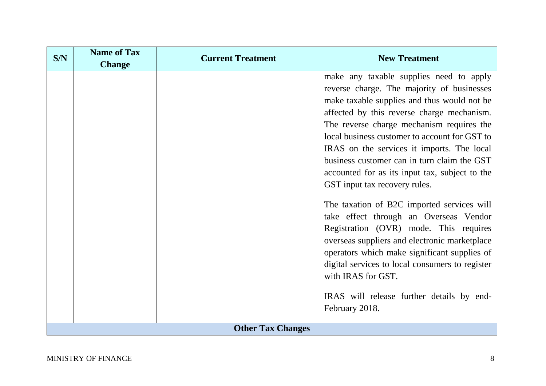| S/N                      | <b>Name of Tax</b><br><b>Change</b> | <b>Current Treatment</b> | <b>New Treatment</b>                                                                                                                                                                                                                                                                                                                                                                                                                                                                                                                                                                               |
|--------------------------|-------------------------------------|--------------------------|----------------------------------------------------------------------------------------------------------------------------------------------------------------------------------------------------------------------------------------------------------------------------------------------------------------------------------------------------------------------------------------------------------------------------------------------------------------------------------------------------------------------------------------------------------------------------------------------------|
|                          |                                     |                          | make any taxable supplies need to apply<br>reverse charge. The majority of businesses<br>make taxable supplies and thus would not be<br>affected by this reverse charge mechanism.<br>The reverse charge mechanism requires the<br>local business customer to account for GST to<br>IRAS on the services it imports. The local<br>business customer can in turn claim the GST<br>accounted for as its input tax, subject to the<br>GST input tax recovery rules.<br>The taxation of B2C imported services will<br>take effect through an Overseas Vendor<br>Registration (OVR) mode. This requires |
|                          |                                     |                          | overseas suppliers and electronic marketplace<br>operators which make significant supplies of<br>digital services to local consumers to register<br>with IRAS for GST.<br>IRAS will release further details by end-<br>February 2018.                                                                                                                                                                                                                                                                                                                                                              |
| <b>Other Tax Changes</b> |                                     |                          |                                                                                                                                                                                                                                                                                                                                                                                                                                                                                                                                                                                                    |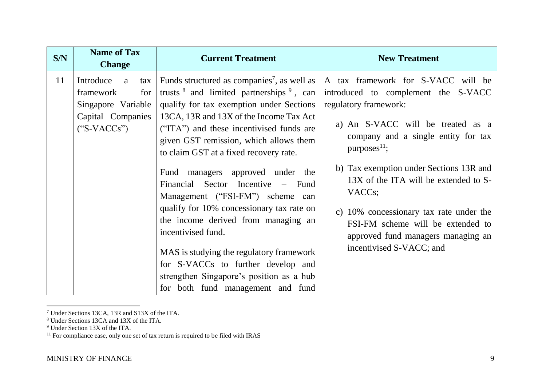| S/N | <b>Name of Tax</b><br><b>Change</b>                                                                   | <b>Current Treatment</b>                                                                                                                                                                                                                                                                                                                                                               | <b>New Treatment</b>                                                                                                                                                                                                                                      |
|-----|-------------------------------------------------------------------------------------------------------|----------------------------------------------------------------------------------------------------------------------------------------------------------------------------------------------------------------------------------------------------------------------------------------------------------------------------------------------------------------------------------------|-----------------------------------------------------------------------------------------------------------------------------------------------------------------------------------------------------------------------------------------------------------|
| 11  | Introduce<br>a<br>tax<br>framework<br>for<br>Singapore Variable<br>Capital Companies<br>$("S-VACCs")$ | Funds structured as companies <sup>7</sup> , as well as<br>trusts $8$ and limited partnerships $9$ , can<br>qualify for tax exemption under Sections<br>13CA, 13R and 13X of the Income Tax Act<br>("ITA") and these incentivised funds are<br>given GST remission, which allows them<br>to claim GST at a fixed recovery rate.                                                        | A tax framework for S-VACC will be<br>introduced to complement the S-VACC<br>regulatory framework:<br>a) An S-VACC will be treated as a<br>company and a single entity for tax<br>purposes $^{11}$ ;                                                      |
|     |                                                                                                       | Fund managers approved under the<br>Financial Sector Incentive – Fund<br>Management ("FSI-FM") scheme can<br>qualify for 10% concessionary tax rate on<br>the income derived from managing an<br>incentivised fund.<br>MAS is studying the regulatory framework<br>for S-VACCs to further develop and<br>strengthen Singapore's position as a hub<br>for both fund management and fund | b) Tax exemption under Sections 13R and<br>13X of the ITA will be extended to S-<br>VACC <sub>s</sub> ;<br>c) 10% concessionary tax rate under the<br>FSI-FM scheme will be extended to<br>approved fund managers managing an<br>incentivised S-VACC; and |

<sup>7</sup> Under Sections 13CA, 13R and S13X of the ITA.

<sup>8</sup> Under Sections 13CA and 13X of the ITA.

<sup>9</sup> Under Section 13X of the ITA.

 $11$  For compliance ease, only one set of tax return is required to be filed with IRAS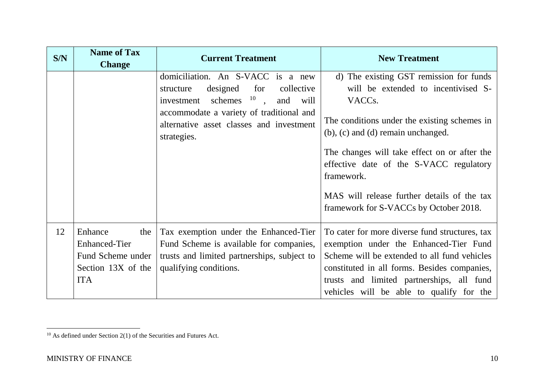| S/N | <b>Name of Tax</b><br><b>Change</b>                                                             | <b>Current Treatment</b>                                                                                                                                                                                                           | <b>New Treatment</b>                                                                                                                                                                                                                                                                                                                                                                          |
|-----|-------------------------------------------------------------------------------------------------|------------------------------------------------------------------------------------------------------------------------------------------------------------------------------------------------------------------------------------|-----------------------------------------------------------------------------------------------------------------------------------------------------------------------------------------------------------------------------------------------------------------------------------------------------------------------------------------------------------------------------------------------|
|     |                                                                                                 | domiciliation. An S-VACC is a new<br>designed<br>for<br>collective<br>structure<br>investment schemes $10$ ,<br>and<br>will<br>accommodate a variety of traditional and<br>alternative asset classes and investment<br>strategies. | d) The existing GST remission for funds<br>will be extended to incentivised S-<br>VACC <sub>s</sub> .<br>The conditions under the existing schemes in<br>(b), (c) and (d) remain unchanged.<br>The changes will take effect on or after the<br>effective date of the S-VACC regulatory<br>framework.<br>MAS will release further details of the tax<br>framework for S-VACCs by October 2018. |
| 12  | Enhance<br>the<br><b>Enhanced-Tier</b><br>Fund Scheme under<br>Section 13X of the<br><b>ITA</b> | Tax exemption under the Enhanced-Tier<br>Fund Scheme is available for companies,<br>trusts and limited partnerships, subject to<br>qualifying conditions.                                                                          | To cater for more diverse fund structures, tax<br>exemption under the Enhanced-Tier Fund<br>Scheme will be extended to all fund vehicles<br>constituted in all forms. Besides companies,<br>trusts and limited partnerships, all fund<br>vehicles will be able to qualify for the                                                                                                             |

 $10$  As defined under Section 2(1) of the Securities and Futures Act.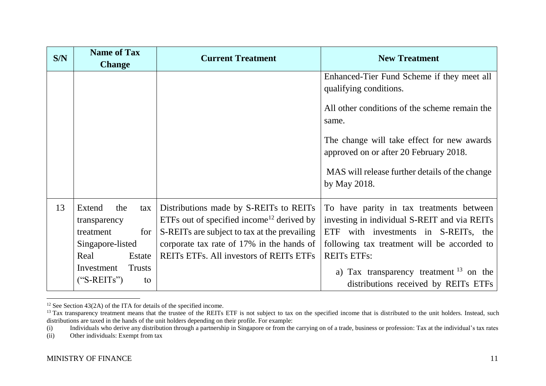| S/N | <b>Name of Tax</b><br><b>Change</b>  | <b>Current Treatment</b>                                                                        | <b>New Treatment</b>                                                                     |
|-----|--------------------------------------|-------------------------------------------------------------------------------------------------|------------------------------------------------------------------------------------------|
|     |                                      |                                                                                                 | Enhanced-Tier Fund Scheme if they meet all<br>qualifying conditions.                     |
|     |                                      |                                                                                                 | All other conditions of the scheme remain the<br>same.                                   |
|     |                                      |                                                                                                 | The change will take effect for new awards<br>approved on or after 20 February 2018.     |
|     |                                      |                                                                                                 | MAS will release further details of the change<br>by May 2018.                           |
| 13  | Extend<br>the<br>tax<br>transparency | Distributions made by S-REITs to REITs<br>ETFs out of specified income <sup>12</sup> derived by | To have parity in tax treatments between<br>investing in individual S-REIT and via REITs |
|     | for<br>treatment                     | S-REITs are subject to tax at the prevailing                                                    | ETF with investments in S-REITs, the                                                     |
|     | Singapore-listed                     | corporate tax rate of 17% in the hands of                                                       | following tax treatment will be accorded to                                              |
|     | Real<br>Estate                       | REITS ETFS. All investors of REITS ETFS                                                         | <b>REITS ETFS:</b>                                                                       |
|     | Investment<br><b>Trusts</b>          |                                                                                                 | a) Tax transparency treatment $^{13}$ on the                                             |
|     | $("S-REITS")$<br>to                  |                                                                                                 | distributions received by REITs ETFs                                                     |

 $\overline{a}$  $12$  See Section 43(2A) of the ITA for details of the specified income.

<sup>&</sup>lt;sup>13</sup> Tax transparency treatment means that the trustee of the REITs ETF is not subject to tax on the specified income that is distributed to the unit holders. Instead, such distributions are taxed in the hands of the unit holders depending on their profile. For example:

<sup>(</sup>i) Individuals who derive any distribution through a partnership in Singapore or from the carrying on of a trade, business or profession: Tax at the individual's tax rates

<sup>(</sup>ii) Other individuals: Exempt from tax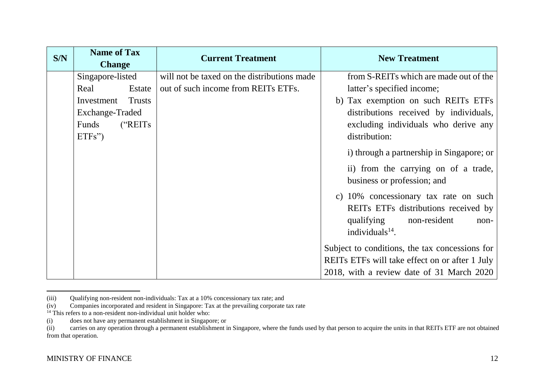| S/N | <b>Name of Tax</b><br><b>Change</b> | <b>Current Treatment</b>                    | <b>New Treatment</b>                           |
|-----|-------------------------------------|---------------------------------------------|------------------------------------------------|
|     | Singapore-listed                    | will not be taxed on the distributions made | from S-REITs which are made out of the         |
|     | Real<br>Estate                      | out of such income from REITs ETFs.         | latter's specified income;                     |
|     | Investment<br><b>Trusts</b>         |                                             | b) Tax exemption on such REITs ETFs            |
|     | Exchange-Traded                     |                                             | distributions received by individuals,         |
|     | ("REITs<br>Funds                    |                                             | excluding individuals who derive any           |
|     | $ETFs$ ")                           |                                             | distribution:                                  |
|     |                                     |                                             | i) through a partnership in Singapore; or      |
|     |                                     |                                             | ii) from the carrying on of a trade,           |
|     |                                     |                                             | business or profession; and                    |
|     |                                     |                                             | c) 10% concessionary tax rate on such          |
|     |                                     |                                             | REITs ETFs distributions received by           |
|     |                                     |                                             | qualifying<br>non-resident<br>non-             |
|     |                                     |                                             | individuals $14$ .                             |
|     |                                     |                                             | Subject to conditions, the tax concessions for |
|     |                                     |                                             | REITS ETFs will take effect on or after 1 July |
|     |                                     |                                             | 2018, with a review date of 31 March 2020      |

<sup>(</sup>iii) Qualifying non-resident non-individuals: Tax at a 10% concessionary tax rate; and

 $\overline{\phantom{a}}$ 

<sup>(</sup>iv) Companies incorporated and resident in Singapore: Tax at the prevailing corporate tax rate

 $^{14}$  This refers to a non-resident non-individual unit holder who:

<sup>(</sup>i) does not have any permanent establishment in Singapore; or

<sup>(</sup>ii) carries on any operation through a permanent establishment in Singapore, where the funds used by that person to acquire the units in that REITs ETF are not obtained from that operation.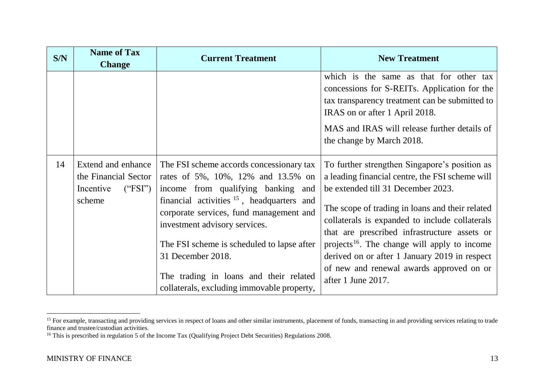| S/N | <b>Name of Tax</b><br><b>Change</b>                                          | <b>Current Treatment</b>                                                                                                                                                                                                                                                                                                                                                                                    | <b>New Treatment</b>                                                                                                                                                                                                                                                                                                                                                                                                                                                       |
|-----|------------------------------------------------------------------------------|-------------------------------------------------------------------------------------------------------------------------------------------------------------------------------------------------------------------------------------------------------------------------------------------------------------------------------------------------------------------------------------------------------------|----------------------------------------------------------------------------------------------------------------------------------------------------------------------------------------------------------------------------------------------------------------------------------------------------------------------------------------------------------------------------------------------------------------------------------------------------------------------------|
|     |                                                                              |                                                                                                                                                                                                                                                                                                                                                                                                             | which is the same as that for other tax<br>concessions for S-REITs. Application for the<br>tax transparency treatment can be submitted to<br>IRAS on or after 1 April 2018.<br>MAS and IRAS will release further details of<br>the change by March 2018.                                                                                                                                                                                                                   |
| 14  | Extend and enhance<br>the Financial Sector<br>Incentive<br>("FSI")<br>scheme | The FSI scheme accords concessionary tax<br>rates of 5%, 10%, 12% and 13.5% on<br>income from qualifying banking and<br>financial activities $15$ , headquarters and<br>corporate services, fund management and<br>investment advisory services.<br>The FSI scheme is scheduled to lapse after<br>31 December 2018.<br>The trading in loans and their related<br>collaterals, excluding immovable property, | To further strengthen Singapore's position as<br>a leading financial centre, the FSI scheme will<br>be extended till 31 December 2023.<br>The scope of trading in loans and their related<br>collaterals is expanded to include collaterals<br>that are prescribed infrastructure assets or<br>projects <sup>16</sup> . The change will apply to income<br>derived on or after 1 January 2019 in respect<br>of new and renewal awards approved on or<br>after 1 June 2017. |

 $\overline{\phantom{a}}$ 

<sup>&</sup>lt;sup>15</sup> For example, transacting and providing services in respect of loans and other similar instruments, placement of funds, transacting in and providing services relating to trade finance and trustee/custodian activities.

<sup>&</sup>lt;sup>16</sup> This is prescribed in regulation 5 of the Income Tax (Qualifying Project Debt Securities) Regulations 2008.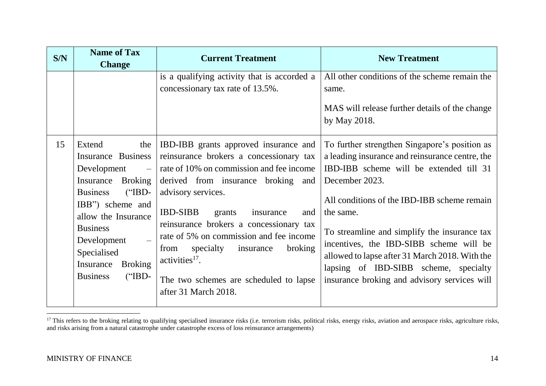| S/N | <b>Name of Tax</b><br><b>Change</b>                                                                                                                                                                                                                                                                           | <b>Current Treatment</b>                                                                                                                                                                                                                                                                                                                                                                                                                                           | <b>New Treatment</b>                                                                                                                                                                                                                                                                                                                                                                                                                                            |
|-----|---------------------------------------------------------------------------------------------------------------------------------------------------------------------------------------------------------------------------------------------------------------------------------------------------------------|--------------------------------------------------------------------------------------------------------------------------------------------------------------------------------------------------------------------------------------------------------------------------------------------------------------------------------------------------------------------------------------------------------------------------------------------------------------------|-----------------------------------------------------------------------------------------------------------------------------------------------------------------------------------------------------------------------------------------------------------------------------------------------------------------------------------------------------------------------------------------------------------------------------------------------------------------|
|     |                                                                                                                                                                                                                                                                                                               | is a qualifying activity that is accorded a<br>concessionary tax rate of 13.5%.                                                                                                                                                                                                                                                                                                                                                                                    | All other conditions of the scheme remain the<br>same.<br>MAS will release further details of the change<br>by May 2018.                                                                                                                                                                                                                                                                                                                                        |
| 15  | Extend<br>the<br><b>Insurance Business</b><br>Development<br>$\overline{\phantom{0}}$<br>Insurance<br><b>Broking</b><br>$("IBD-$<br><b>Business</b><br>IBB") scheme and<br>allow the Insurance<br><b>Business</b><br>Development<br>Specialised<br>Insurance<br><b>Broking</b><br>$("IBD-$<br><b>Business</b> | IBD-IBB grants approved insurance and<br>reinsurance brokers a concessionary tax<br>rate of 10% on commission and fee income<br>derived from insurance broking and<br>advisory services.<br><b>IBD-SIBB</b><br>grants<br>insurance<br>and<br>reinsurance brokers a concessionary tax<br>rate of 5% on commission and fee income<br>specialty<br>insurance<br>broking<br>from<br>$activities17$ .<br>The two schemes are scheduled to lapse<br>after 31 March 2018. | To further strengthen Singapore's position as<br>a leading insurance and reinsurance centre, the<br>IBD-IBB scheme will be extended till 31<br>December 2023.<br>All conditions of the IBD-IBB scheme remain<br>the same.<br>To streamline and simplify the insurance tax<br>incentives, the IBD-SIBB scheme will be<br>allowed to lapse after 31 March 2018. With the<br>lapsing of IBD-SIBB scheme, specialty<br>insurance broking and advisory services will |

 $\overline{\phantom{a}}$  $17$  This refers to the broking relating to qualifying specialised insurance risks (i.e. terrorism risks, political risks, energy risks, aviation and aerospace risks, agriculture risks, and risks arising from a natural catastrophe under catastrophe excess of loss reinsurance arrangements)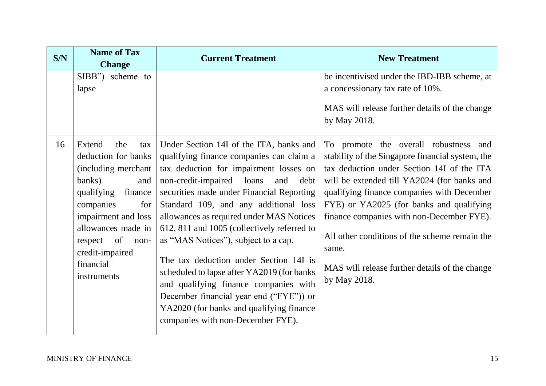| S/N | <b>Name of Tax</b><br><b>Change</b>                                                                                                                                                                                                                    | <b>Current Treatment</b>                                                                                                                                                                                                                                                                                                                                                                                                                                                                                                                                                                                                                                       | <b>New Treatment</b>                                                                                                                                                                                                                                                                                                                                                                                                                                      |
|-----|--------------------------------------------------------------------------------------------------------------------------------------------------------------------------------------------------------------------------------------------------------|----------------------------------------------------------------------------------------------------------------------------------------------------------------------------------------------------------------------------------------------------------------------------------------------------------------------------------------------------------------------------------------------------------------------------------------------------------------------------------------------------------------------------------------------------------------------------------------------------------------------------------------------------------------|-----------------------------------------------------------------------------------------------------------------------------------------------------------------------------------------------------------------------------------------------------------------------------------------------------------------------------------------------------------------------------------------------------------------------------------------------------------|
|     | $SIBB$ ")<br>scheme to<br>lapse                                                                                                                                                                                                                        |                                                                                                                                                                                                                                                                                                                                                                                                                                                                                                                                                                                                                                                                | be incentivised under the IBD-IBB scheme, at<br>a concessionary tax rate of 10%.<br>MAS will release further details of the change<br>by May 2018.                                                                                                                                                                                                                                                                                                        |
| 16  | Extend<br>the<br>tax<br>deduction for banks<br>(including merchant)<br>banks)<br>and<br>qualifying<br>finance<br>companies<br>for<br>impairment and loss<br>allowances made in<br>of<br>respect<br>non-<br>credit-impaired<br>financial<br>instruments | Under Section 14I of the ITA, banks and<br>qualifying finance companies can claim a<br>tax deduction for impairment losses on<br>non-credit-impaired loans<br>and<br>debt<br>securities made under Financial Reporting<br>Standard 109, and any additional loss<br>allowances as required under MAS Notices<br>612, 811 and 1005 (collectively referred to<br>as "MAS Notices", subject to a cap.<br>The tax deduction under Section 14I is<br>scheduled to lapse after YA2019 (for banks<br>and qualifying finance companies with<br>December financial year end ("FYE")) or<br>YA2020 (for banks and qualifying finance<br>companies with non-December FYE). | To promote the overall robustness and<br>stability of the Singapore financial system, the<br>tax deduction under Section 14I of the ITA<br>will be extended till YA2024 (for banks and<br>qualifying finance companies with December<br>FYE) or YA2025 (for banks and qualifying<br>finance companies with non-December FYE).<br>All other conditions of the scheme remain the<br>same.<br>MAS will release further details of the change<br>by May 2018. |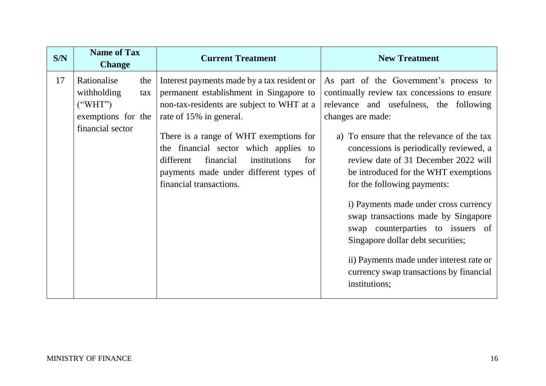| S/N | <b>Name of Tax</b><br><b>Change</b>                                                |            | <b>Current Treatment</b>                                                                                                                                                                                                                                                                                                                                                | <b>New Treatment</b>                                                                                                                                                                                                                                                                                                                                                                                                                                                                                                                                                                                                             |
|-----|------------------------------------------------------------------------------------|------------|-------------------------------------------------------------------------------------------------------------------------------------------------------------------------------------------------------------------------------------------------------------------------------------------------------------------------------------------------------------------------|----------------------------------------------------------------------------------------------------------------------------------------------------------------------------------------------------------------------------------------------------------------------------------------------------------------------------------------------------------------------------------------------------------------------------------------------------------------------------------------------------------------------------------------------------------------------------------------------------------------------------------|
| 17  | Rationalise<br>withholding<br>$($ "WHT")<br>exemptions for the<br>financial sector | the<br>tax | Interest payments made by a tax resident or<br>permanent establishment in Singapore to<br>non-tax-residents are subject to WHT at a<br>rate of 15% in general.<br>There is a range of WHT exemptions for<br>the financial sector which applies to<br>different<br>financial<br>institutions<br>for<br>payments made under different types of<br>financial transactions. | As part of the Government's process to<br>continually review tax concessions to ensure<br>relevance and usefulness, the following<br>changes are made:<br>a) To ensure that the relevance of the tax<br>concessions is periodically reviewed, a<br>review date of 31 December 2022 will<br>be introduced for the WHT exemptions<br>for the following payments:<br>i) Payments made under cross currency<br>swap transactions made by Singapore<br>swap counterparties to issuers of<br>Singapore dollar debt securities;<br>ii) Payments made under interest rate or<br>currency swap transactions by financial<br>institutions; |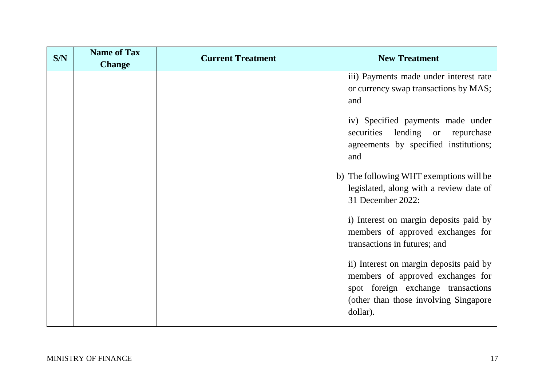| S/N | <b>Name of Tax</b><br><b>Change</b> | <b>Current Treatment</b> | <b>New Treatment</b>                                                                                                                                                     |
|-----|-------------------------------------|--------------------------|--------------------------------------------------------------------------------------------------------------------------------------------------------------------------|
|     |                                     |                          | iii) Payments made under interest rate<br>or currency swap transactions by MAS;<br>and                                                                                   |
|     |                                     |                          | iv) Specified payments made under<br>securities<br>lending or<br>repurchase<br>agreements by specified institutions;<br>and                                              |
|     |                                     |                          | b) The following WHT exemptions will be<br>legislated, along with a review date of<br>31 December 2022:                                                                  |
|     |                                     |                          | i) Interest on margin deposits paid by<br>members of approved exchanges for<br>transactions in futures; and                                                              |
|     |                                     |                          | ii) Interest on margin deposits paid by<br>members of approved exchanges for<br>spot foreign exchange transactions<br>(other than those involving Singapore)<br>dollar). |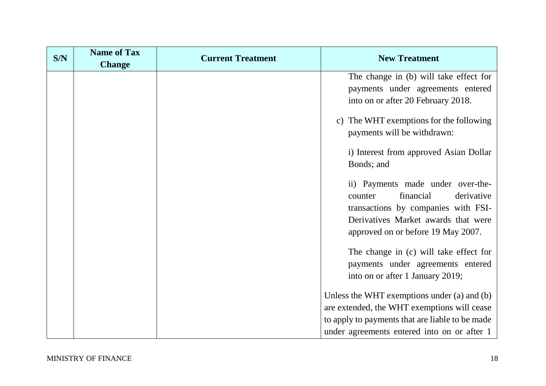| S/N | <b>Name of Tax</b><br><b>Change</b> | <b>Current Treatment</b> | <b>New Treatment</b>                            |  |
|-----|-------------------------------------|--------------------------|-------------------------------------------------|--|
|     |                                     |                          | The change in (b) will take effect for          |  |
|     |                                     |                          | payments under agreements entered               |  |
|     |                                     |                          | into on or after 20 February 2018.              |  |
|     |                                     |                          | c) The WHT exemptions for the following         |  |
|     |                                     |                          | payments will be withdrawn:                     |  |
|     |                                     |                          | i) Interest from approved Asian Dollar          |  |
|     |                                     |                          | Bonds; and                                      |  |
|     |                                     |                          | ii) Payments made under over-the-               |  |
|     |                                     |                          | financial<br>derivative<br>counter              |  |
|     |                                     |                          | transactions by companies with FSI-             |  |
|     |                                     |                          | Derivatives Market awards that were             |  |
|     |                                     |                          | approved on or before 19 May 2007.              |  |
|     |                                     |                          | The change in (c) will take effect for          |  |
|     |                                     |                          | payments under agreements entered               |  |
|     |                                     |                          | into on or after 1 January 2019;                |  |
|     |                                     |                          | Unless the WHT exemptions under (a) and (b)     |  |
|     |                                     |                          | are extended, the WHT exemptions will cease     |  |
|     |                                     |                          | to apply to payments that are liable to be made |  |
|     |                                     |                          | under agreements entered into on or after 1     |  |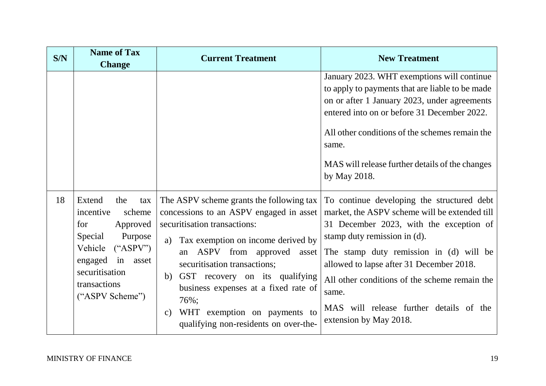| S/N | <b>Name of Tax</b><br><b>Change</b>                                                                                                                                                    | <b>Current Treatment</b>                                                                                                                                                                                                                                                                                                                                                                                              | <b>New Treatment</b>                                                                                                                                                                                                                                                                                                                                                                         |
|-----|----------------------------------------------------------------------------------------------------------------------------------------------------------------------------------------|-----------------------------------------------------------------------------------------------------------------------------------------------------------------------------------------------------------------------------------------------------------------------------------------------------------------------------------------------------------------------------------------------------------------------|----------------------------------------------------------------------------------------------------------------------------------------------------------------------------------------------------------------------------------------------------------------------------------------------------------------------------------------------------------------------------------------------|
|     |                                                                                                                                                                                        |                                                                                                                                                                                                                                                                                                                                                                                                                       | January 2023. WHT exemptions will continue<br>to apply to payments that are liable to be made<br>on or after 1 January 2023, under agreements<br>entered into on or before 31 December 2022.<br>All other conditions of the schemes remain the<br>same.<br>MAS will release further details of the changes<br>by May 2018.                                                                   |
| 18  | Extend<br>the<br>tax<br>incentive<br>scheme<br>for<br>Approved<br>Purpose<br>Special<br>Vehicle<br>$(*ASPV")$<br>engaged in asset<br>securitisation<br>transactions<br>("ASPV Scheme") | The ASPV scheme grants the following tax<br>concessions to an ASPV engaged in asset<br>securitisation transactions:<br>Tax exemption on income derived by<br>a)<br>ASPV from approved asset<br>an<br>securitisation transactions;<br>GST recovery on its qualifying<br>b)<br>business expenses at a fixed rate of<br>76%;<br>WHT exemption on payments to<br>$\mathcal{C}$ )<br>qualifying non-residents on over-the- | To continue developing the structured debt<br>market, the ASPV scheme will be extended till<br>31 December 2023, with the exception of<br>stamp duty remission in (d).<br>The stamp duty remission in (d) will be<br>allowed to lapse after 31 December 2018.<br>All other conditions of the scheme remain the<br>same.<br>MAS will release further details of the<br>extension by May 2018. |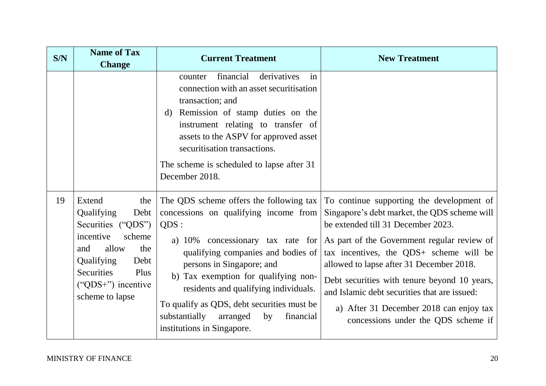| S/N | <b>Name of Tax</b><br><b>Change</b>                                                                                                                                                              | <b>Current Treatment</b>                                                                                                                                                                                                                                                                                                                                                                                      | <b>New Treatment</b>                                                                                                                                                                                                                                                                                                                                                                                                                                    |  |
|-----|--------------------------------------------------------------------------------------------------------------------------------------------------------------------------------------------------|---------------------------------------------------------------------------------------------------------------------------------------------------------------------------------------------------------------------------------------------------------------------------------------------------------------------------------------------------------------------------------------------------------------|---------------------------------------------------------------------------------------------------------------------------------------------------------------------------------------------------------------------------------------------------------------------------------------------------------------------------------------------------------------------------------------------------------------------------------------------------------|--|
|     |                                                                                                                                                                                                  | financial<br>derivatives<br>counter<br>in<br>connection with an asset securitisation<br>transaction; and<br>Remission of stamp duties on the<br>d)<br>instrument relating to transfer of<br>assets to the ASPV for approved asset<br>securitisation transactions.<br>The scheme is scheduled to lapse after 31<br>December 2018.                                                                              |                                                                                                                                                                                                                                                                                                                                                                                                                                                         |  |
| 19  | Extend<br>the<br>Qualifying<br>Debt<br>Securities ("QDS")<br>scheme<br>incentive<br>allow<br>and<br>the<br>Qualifying<br>Debt<br>Securities<br>Plus<br>(" $QDS+$ ") incentive<br>scheme to lapse | The QDS scheme offers the following tax<br>concessions on qualifying income from<br>QDS:<br>a) 10% concessionary tax rate for<br>qualifying companies and bodies of<br>persons in Singapore; and<br>b) Tax exemption for qualifying non-<br>residents and qualifying individuals.<br>To qualify as QDS, debt securities must be<br>substantially<br>arranged<br>by<br>financial<br>institutions in Singapore. | To continue supporting the development of<br>Singapore's debt market, the QDS scheme will<br>be extended till 31 December 2023.<br>As part of the Government regular review of<br>tax incentives, the QDS+ scheme will be<br>allowed to lapse after 31 December 2018.<br>Debt securities with tenure beyond 10 years,<br>and Islamic debt securities that are issued:<br>a) After 31 December 2018 can enjoy tax<br>concessions under the QDS scheme if |  |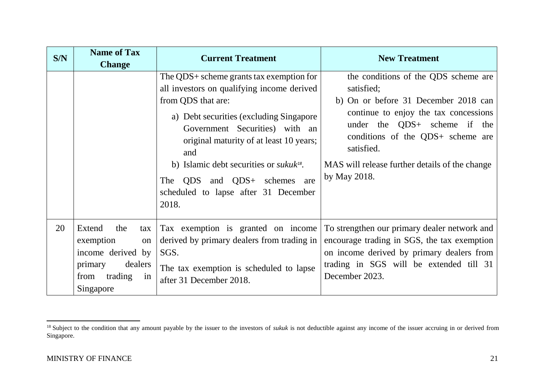| S/N | <b>Name of Tax</b><br><b>Change</b>                                                                                   | <b>Current Treatment</b>                                                                                                                                                                                                                                                                                                                                                                   | <b>New Treatment</b>                                                                                                                                                                                                                                                                     |
|-----|-----------------------------------------------------------------------------------------------------------------------|--------------------------------------------------------------------------------------------------------------------------------------------------------------------------------------------------------------------------------------------------------------------------------------------------------------------------------------------------------------------------------------------|------------------------------------------------------------------------------------------------------------------------------------------------------------------------------------------------------------------------------------------------------------------------------------------|
|     |                                                                                                                       | The QDS+ scheme grants tax exemption for<br>all investors on qualifying income derived<br>from QDS that are:<br>a) Debt securities (excluding Singapore<br>Government Securities) with an<br>original maturity of at least 10 years;<br>and<br>b) Islamic debt securities or <i>sukuk</i> <sup>18</sup> .<br>The QDS and QDS+ schemes are<br>scheduled to lapse after 31 December<br>2018. | the conditions of the QDS scheme are<br>satisfied;<br>b) On or before 31 December 2018 can<br>continue to enjoy the tax concessions<br>under the QDS+ scheme if the<br>conditions of the QDS+ scheme are<br>satisfied.<br>MAS will release further details of the change<br>by May 2018. |
| 20  | Extend<br>the<br>tax<br>exemption<br>on<br>income derived by<br>dealers<br>primary<br>from trading<br>in<br>Singapore | Tax exemption is granted on income<br>derived by primary dealers from trading in<br>SGS.<br>The tax exemption is scheduled to lapse<br>after 31 December 2018.                                                                                                                                                                                                                             | To strengthen our primary dealer network and<br>encourage trading in SGS, the tax exemption<br>on income derived by primary dealers from<br>trading in SGS will be extended till 31<br>December 2023.                                                                                    |

<sup>&</sup>lt;sup>18</sup> Subject to the condition that any amount payable by the issuer to the investors of *sukuk* is not deductible against any income of the issuer accruing in or derived from Singapore.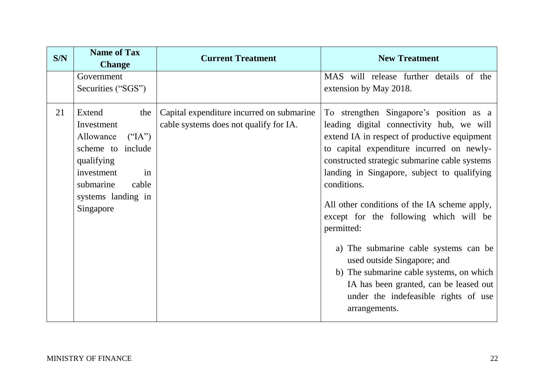| S/N | <b>Name of Tax</b><br><b>Change</b>                                                                                                                                   | <b>Current Treatment</b>                                                            | <b>New Treatment</b>                                                                                                                                                                                                                                                                                                                                                                                                                                                                                                                                                                                                            |
|-----|-----------------------------------------------------------------------------------------------------------------------------------------------------------------------|-------------------------------------------------------------------------------------|---------------------------------------------------------------------------------------------------------------------------------------------------------------------------------------------------------------------------------------------------------------------------------------------------------------------------------------------------------------------------------------------------------------------------------------------------------------------------------------------------------------------------------------------------------------------------------------------------------------------------------|
|     | Government<br>Securities ("SGS")                                                                                                                                      |                                                                                     | MAS will release further details of the<br>extension by May 2018.                                                                                                                                                                                                                                                                                                                                                                                                                                                                                                                                                               |
| 21  | Extend<br>the<br>Investment<br>Allowance<br>$($ "IA")<br>scheme to include<br>qualifying<br>investment<br>in<br>submarine<br>cable<br>systems landing in<br>Singapore | Capital expenditure incurred on submarine<br>cable systems does not qualify for IA. | To strengthen Singapore's position as a<br>leading digital connectivity hub, we will<br>extend IA in respect of productive equipment<br>to capital expenditure incurred on newly-<br>constructed strategic submarine cable systems<br>landing in Singapore, subject to qualifying<br>conditions.<br>All other conditions of the IA scheme apply,<br>except for the following which will be<br>permitted:<br>a) The submarine cable systems can be<br>used outside Singapore; and<br>b) The submarine cable systems, on which<br>IA has been granted, can be leased out<br>under the indefeasible rights of use<br>arrangements. |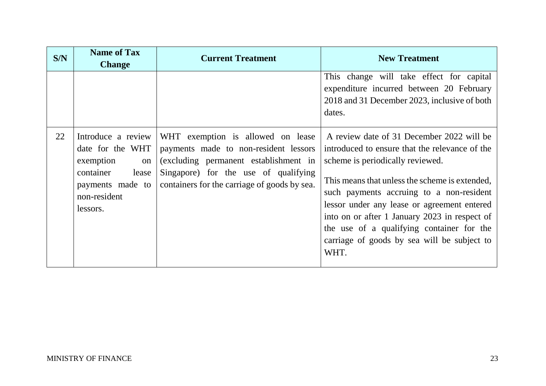| S/N | <b>Name of Tax</b><br><b>Change</b>                                                                                             | <b>Current Treatment</b>                                                                                                                                                                                    | <b>New Treatment</b>                                                                                                                                                                                                                                                                                                                                                                                                              |
|-----|---------------------------------------------------------------------------------------------------------------------------------|-------------------------------------------------------------------------------------------------------------------------------------------------------------------------------------------------------------|-----------------------------------------------------------------------------------------------------------------------------------------------------------------------------------------------------------------------------------------------------------------------------------------------------------------------------------------------------------------------------------------------------------------------------------|
|     |                                                                                                                                 |                                                                                                                                                                                                             | This change will take effect for capital<br>expenditure incurred between 20 February<br>2018 and 31 December 2023, inclusive of both<br>dates.                                                                                                                                                                                                                                                                                    |
| 22  | Introduce a review<br>date for the WHT<br>exemption<br>on<br>container<br>lease<br>payments made to<br>non-resident<br>lessors. | WHT exemption is allowed on lease<br>payments made to non-resident lessors<br>(excluding permanent establishment in<br>Singapore) for the use of qualifying<br>containers for the carriage of goods by sea. | A review date of 31 December 2022 will be<br>introduced to ensure that the relevance of the<br>scheme is periodically reviewed.<br>This means that unless the scheme is extended,<br>such payments accruing to a non-resident<br>lessor under any lease or agreement entered<br>into on or after 1 January 2023 in respect of<br>the use of a qualifying container for the<br>carriage of goods by sea will be subject to<br>WHT. |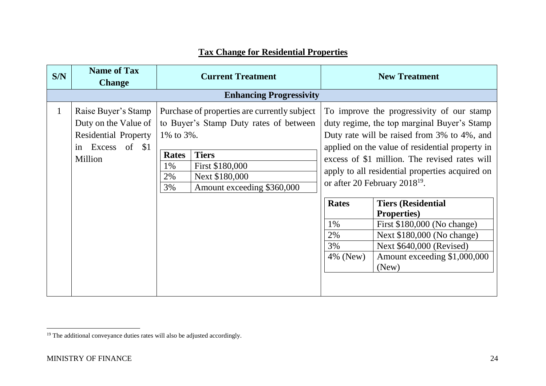## **Tax Change for Residential Properties**

| S/N          | <b>Name of Tax</b><br><b>Change</b>                                                                          | <b>Current Treatment</b>                    |                                                                                                                                                                           | <b>New Treatment</b>                       |                                                                                                                                                                                                                                                                                                                                                                                                                                                                                                                                   |
|--------------|--------------------------------------------------------------------------------------------------------------|---------------------------------------------|---------------------------------------------------------------------------------------------------------------------------------------------------------------------------|--------------------------------------------|-----------------------------------------------------------------------------------------------------------------------------------------------------------------------------------------------------------------------------------------------------------------------------------------------------------------------------------------------------------------------------------------------------------------------------------------------------------------------------------------------------------------------------------|
|              |                                                                                                              |                                             | <b>Enhancing Progressivity</b>                                                                                                                                            |                                            |                                                                                                                                                                                                                                                                                                                                                                                                                                                                                                                                   |
| $\mathbf{1}$ | Raise Buyer's Stamp<br>Duty on the Value of<br><b>Residential Property</b><br>Excess of \$1<br>in<br>Million | 1% to 3%.<br><b>Rates</b><br>1%<br>2%<br>3% | Purchase of properties are currently subject<br>to Buyer's Stamp Duty rates of between<br><b>Tiers</b><br>First \$180,000<br>Next \$180,000<br>Amount exceeding \$360,000 | <b>Rates</b><br>1%<br>2%<br>3%<br>4% (New) | To improve the progressivity of our stamp<br>duty regime, the top marginal Buyer's Stamp<br>Duty rate will be raised from 3% to 4%, and<br>applied on the value of residential property in<br>excess of \$1 million. The revised rates will<br>apply to all residential properties acquired on<br>or after 20 February 2018 <sup>19</sup> .<br><b>Tiers (Residential</b><br><b>Properties</b> )<br>First \$180,000 (No change)<br>Next \$180,000 (No change)<br>Next \$640,000 (Revised)<br>Amount exceeding \$1,000,000<br>(New) |

<sup>&</sup>lt;sup>19</sup> The additional conveyance duties rates will also be adjusted accordingly.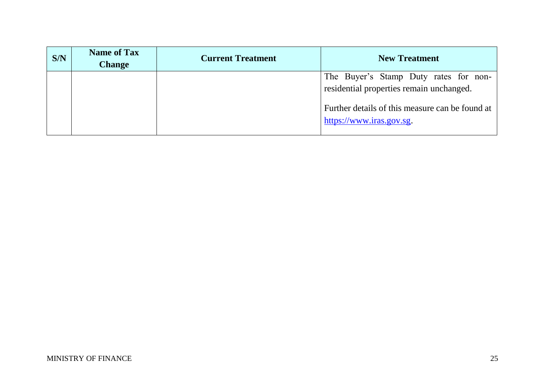| S/N | <b>Name of Tax</b><br><b>Change</b> | <b>Current Treatment</b> | <b>New Treatment</b>                                                              |  |
|-----|-------------------------------------|--------------------------|-----------------------------------------------------------------------------------|--|
|     |                                     |                          | The Buyer's Stamp Duty rates for non-<br>residential properties remain unchanged. |  |
|     |                                     |                          | Further details of this measure can be found at<br>https://www.iras.gov.sg.       |  |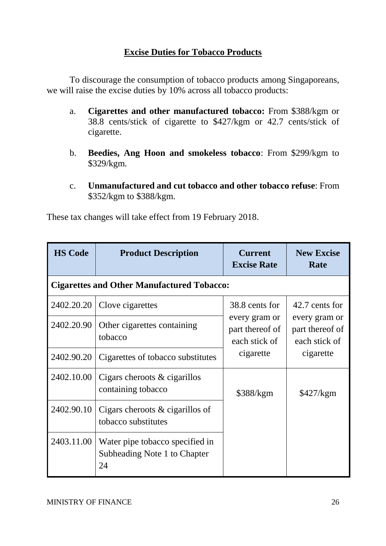## **Excise Duties for Tobacco Products**

To discourage the consumption of tobacco products among Singaporeans, we will raise the excise duties by 10% across all tobacco products:

- a. **Cigarettes and other manufactured tobacco:** From \$388/kgm or 38.8 cents/stick of cigarette to \$427/kgm or 42.7 cents/stick of cigarette.
- b. **Beedies, Ang Hoon and smokeless tobacco**: From \$299/kgm to \$329/kgm.
- c. **Unmanufactured and cut tobacco and other tobacco refuse**: From \$352/kgm to \$388/kgm.

These tax changes will take effect from 19 February 2018.

| <b>HS Code</b>                                    | <b>Product Description</b>                                            | <b>Current</b><br><b>Excise Rate</b>              | <b>New Excise</b><br>Rate                                                        |  |  |  |  |  |
|---------------------------------------------------|-----------------------------------------------------------------------|---------------------------------------------------|----------------------------------------------------------------------------------|--|--|--|--|--|
| <b>Cigarettes and Other Manufactured Tobacco:</b> |                                                                       |                                                   |                                                                                  |  |  |  |  |  |
| 2402.20.20                                        | Clove cigarettes                                                      | 38.8 cents for                                    | 42.7 cents for<br>every gram or<br>part thereof of<br>each stick of<br>cigarette |  |  |  |  |  |
| 2402.20.90                                        | Other cigarettes containing<br>tobacco                                | every gram or<br>part thereof of<br>each stick of |                                                                                  |  |  |  |  |  |
| 2402.90.20                                        | Cigarettes of tobacco substitutes                                     | cigarette                                         |                                                                                  |  |  |  |  |  |
| 2402.10.00                                        | Cigars cheroots $\&$ cigarillos<br>containing tobacco                 | \$388/kgm                                         | \$427/kgm                                                                        |  |  |  |  |  |
| 2402.90.10                                        | Cigars cheroots $\&$ cigarillos of<br>tobacco substitutes             |                                                   |                                                                                  |  |  |  |  |  |
| 2403.11.00                                        | Water pipe tobacco specified in<br>Subheading Note 1 to Chapter<br>24 |                                                   |                                                                                  |  |  |  |  |  |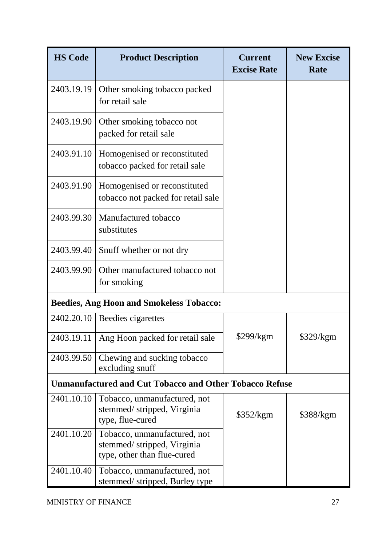| <b>HS Code</b>                                                 | <b>Product Description</b>                                                                | <b>Current</b><br><b>Excise Rate</b> | <b>New Excise</b><br>Rate |  |  |  |  |
|----------------------------------------------------------------|-------------------------------------------------------------------------------------------|--------------------------------------|---------------------------|--|--|--|--|
| 2403.19.19                                                     | Other smoking tobacco packed<br>for retail sale                                           |                                      |                           |  |  |  |  |
| 2403.19.90                                                     | Other smoking tobacco not<br>packed for retail sale                                       |                                      |                           |  |  |  |  |
| 2403.91.10                                                     | Homogenised or reconstituted<br>tobacco packed for retail sale                            |                                      |                           |  |  |  |  |
| 2403.91.90                                                     | Homogenised or reconstituted<br>tobacco not packed for retail sale                        |                                      |                           |  |  |  |  |
| 2403.99.30                                                     | Manufactured tobacco<br>substitutes                                                       |                                      |                           |  |  |  |  |
| 2403.99.40                                                     | Snuff whether or not dry                                                                  |                                      |                           |  |  |  |  |
| 2403.99.90                                                     | Other manufactured tobacco not<br>for smoking                                             |                                      |                           |  |  |  |  |
|                                                                | <b>Beedies, Ang Hoon and Smokeless Tobacco:</b>                                           |                                      |                           |  |  |  |  |
| 2402.20.10                                                     | Beedies cigarettes                                                                        |                                      |                           |  |  |  |  |
|                                                                | 2403.19.11 Ang Hoon packed for retail sale                                                | \$299/kgm                            | \$329/kgm                 |  |  |  |  |
| 2403.99.50                                                     | Chewing and sucking tobacco<br>excluding snuff                                            |                                      |                           |  |  |  |  |
| <b>Unmanufactured and Cut Tobacco and Other Tobacco Refuse</b> |                                                                                           |                                      |                           |  |  |  |  |
| 2401.10.10                                                     | Tobacco, unmanufactured, not<br>stemmed/stripped, Virginia<br>type, flue-cured            | \$352/kgm                            | \$388/kgm                 |  |  |  |  |
| 2401.10.20                                                     | Tobacco, unmanufactured, not<br>stemmed/stripped, Virginia<br>type, other than flue-cured |                                      |                           |  |  |  |  |
| 2401.10.40                                                     | Tobacco, unmanufactured, not<br>stemmed/stripped, Burley type                             |                                      |                           |  |  |  |  |